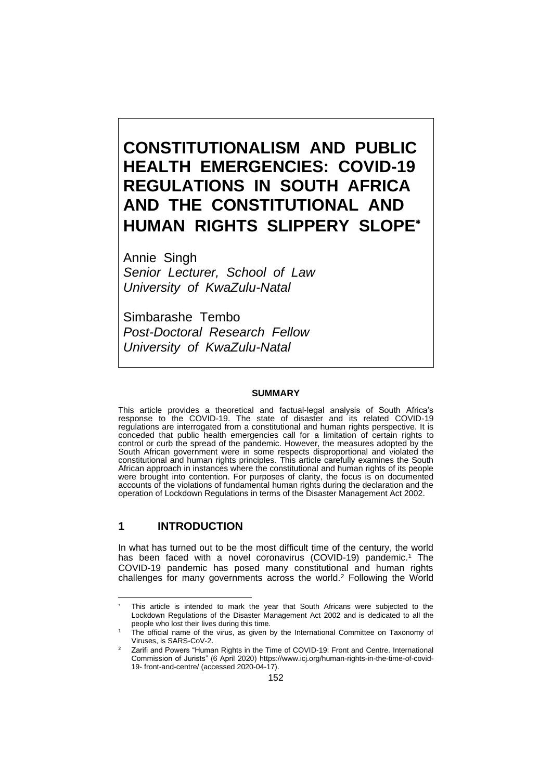# **CONSTITUTIONALISM AND PUBLIC HEALTH EMERGENCIES: COVID-19 REGULATIONS IN SOUTH AFRICA AND THE CONSTITUTIONAL AND HUMAN RIGHTS SLIPPERY SLOPE**

Annie Singh *Senior Lecturer, School of Law University of KwaZulu-Natal*

Simbarashe Tembo *Post-Doctoral Research Fellow University of KwaZulu-Natal*

#### **SUMMARY**

This article provides a theoretical and factual-legal analysis of South Africa's response to the COVID-19. The state of disaster and its related COVID-19 regulations are interrogated from a constitutional and human rights perspective. It is conceded that public health emergencies call for a limitation of certain rights to control or curb the spread of the pandemic. However, the measures adopted by the South African government were in some respects disproportional and violated the constitutional and human rights principles. This article carefully examines the South African approach in instances where the constitutional and human rights of its people were brought into contention. For purposes of clarity, the focus is on documented accounts of the violations of fundamental human rights during the declaration and the operation of Lockdown Regulations in terms of the Disaster Management Act 2002.

#### **1 INTRODUCTION**

In what has turned out to be the most difficult time of the century, the world has been faced with a novel coronavirus (COVID-19) pandemic. <sup>1</sup> The COVID-19 pandemic has posed many constitutional and human rights challenges for many governments across the world.<sup>2</sup> Following the World

This article is intended to mark the year that South Africans were subjected to the Lockdown Regulations of the Disaster Management Act 2002 and is dedicated to all the people who lost their lives during this time.

The official name of the virus, as given by the International Committee on Taxonomy of Viruses, is SARS-CoV-2.

<sup>2</sup> Zarifi and Powers "Human Rights in the Time of COVID-19: Front and Centre. International Commission of Jurists" (6 April 2020) [https://www.icj.org/human-rights-in-the-time-of-covid-](https://www.icj.org/human-rights-in-the-time-of-covid-19-%20front-and-centre/)19- [front-and-centre/](https://www.icj.org/human-rights-in-the-time-of-covid-19-%20front-and-centre/) (accessed 2020-04-17).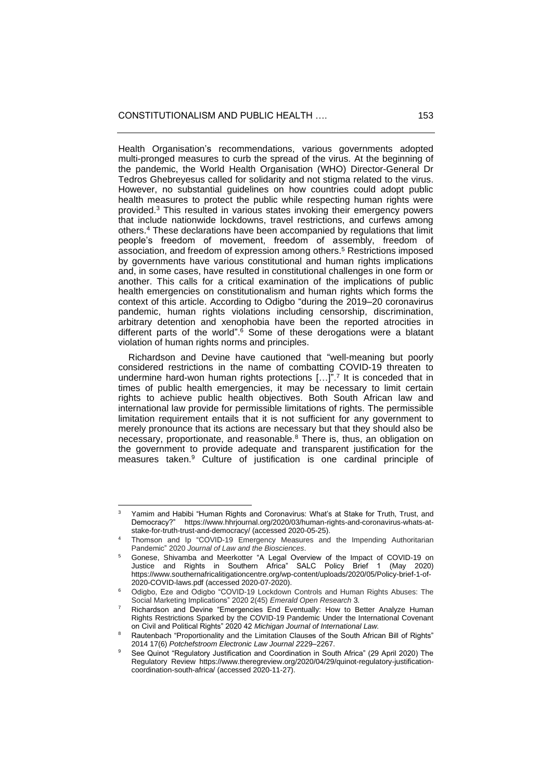Health Organisation's recommendations, various governments adopted multi-pronged measures to curb the spread of the virus. At the beginning of the pandemic, the World Health Organisation (WHO) Director-General Dr Tedros Ghebreyesus called for solidarity and not stigma related to the virus. However, no substantial guidelines on how countries could adopt public health measures to protect the public while respecting human rights were provided.<sup>3</sup> This resulted in various states invoking their emergency powers that include nationwide lockdowns, travel restrictions, and curfews among others. <sup>4</sup> These declarations have been accompanied by regulations that limit people's freedom of movement, freedom of assembly, freedom of association, and freedom of expression among others. <sup>5</sup> Restrictions imposed by governments have various constitutional and human rights implications and, in some cases, have resulted in constitutional challenges in one form or another. This calls for a critical examination of the implications of public health emergencies on constitutionalism and human rights which forms the context of this article. According to Odigbo "during the 2019–20 coronavirus pandemic, human rights violations including censorship, discrimination, arbitrary detention and xenophobia have been the reported atrocities in different parts of the world". <sup>6</sup> Some of these derogations were a blatant violation of human rights norms and principles.

 Richardson and Devine have cautioned that "well-meaning but poorly considered restrictions in the name of combatting COVID-19 threaten to undermine hard-won human rights protections [...]".<sup>7</sup> It is conceded that in times of public health emergencies, it may be necessary to limit certain rights to achieve public health objectives. Both South African law and international law provide for permissible limitations of rights. The permissible limitation requirement entails that it is not sufficient for any government to merely pronounce that its actions are necessary but that they should also be necessary, proportionate, and reasonable.<sup>8</sup> There is, thus, an obligation on the government to provide adequate and transparent justification for the measures taken.<sup>9</sup> Culture of justification is one cardinal principle of

<sup>3</sup> Yamim and Habibi "Human Rights and Coronavirus: What's at Stake for Truth, Trust, and Democracy?" [https://www.hhrjournal.org/2020/03/human-rights-and-coronavirus-whats-at](https://www.hhrjournal.org/2020/03/human-rights-and-coronavirus-whats-at-stake-for-truth-trust-and-democracy/)[stake-for-truth-trust-and-democracy/](https://www.hhrjournal.org/2020/03/human-rights-and-coronavirus-whats-at-stake-for-truth-trust-and-democracy/) (accessed 2020-05-25).

<sup>4</sup> Thomson and Ip "COVID-19 Emergency Measures and the Impending Authoritarian Pandemic" 2020 *Journal of Law and the Biosciences*.

<sup>&</sup>lt;sup>5</sup> Gonese, Shivamba and Meerkotter "A Legal Overview of the Impact of COVID-19 on Justice and Rights in Southern Africa" SALC Policy Brief 1 (May 2020) [https://www.southernafricalitigationcentre.org/wp-content/uploads/2020/05/Policy-brief-1-of-](https://www.southernafricalitigationcentre.org/wp-content/uploads/2020/05/Policy-brief-1-of-2020-COVID-laws.pdf)[2020-COVID-laws.pdf](https://www.southernafricalitigationcentre.org/wp-content/uploads/2020/05/Policy-brief-1-of-2020-COVID-laws.pdf) (accessed 2020-07-2020).

<sup>6</sup> Odigbo, Eze and Odigbo "COVID-19 Lockdown Controls and Human Rights Abuses: The Social Marketing Implications" 2020 2(45) *Emerald Open Research* 3.

 $7$  Richardson and Devine "Emergencies End Eventually: How to Better Analyze Human Rights Restrictions Sparked by the COVID-19 Pandemic Under the International Covenant on Civil and Political Rights" 2020 42 *Michigan Journal of International Law.*

Rautenbach "Proportionality and the Limitation Clauses of the South African Bill of Rights" 2014 17(6) Potchefstroom Electronic Law Journal 2229-2267.

See Quinot "Regulatory Justification and Coordination in South Africa" (29 April 2020) The Regulatory Review [https://www.theregreview.org/2020/04/29/quinot-regulatory-justification](https://www.theregreview.org/2020/04/29/quinot-regulatory-justification-coordination-south-africa/)[coordination-south-africa/](https://www.theregreview.org/2020/04/29/quinot-regulatory-justification-coordination-south-africa/) (accessed 2020-11-27).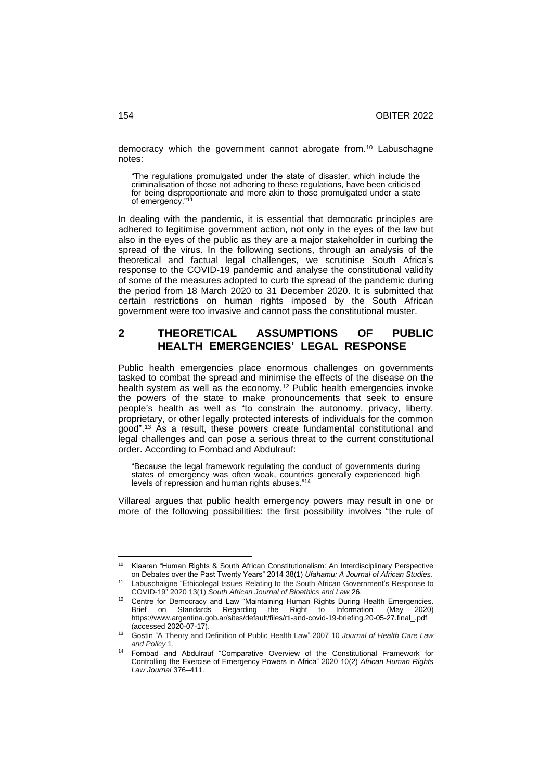democracy which the government cannot abrogate from.<sup>10</sup> Labuschagne notes:

"The regulations promulgated under the state of disaster, which include the criminalisation of those not adhering to these regulations, have been criticised for being disproportionate and more akin to those promulgated under a state of emergency."<sup>11</sup>

In dealing with the pandemic, it is essential that democratic principles are adhered to legitimise government action, not only in the eyes of the law but also in the eyes of the public as they are a major stakeholder in curbing the spread of the virus. In the following sections, through an analysis of the theoretical and factual legal challenges, we scrutinise South Africa's response to the COVID-19 pandemic and analyse the constitutional validity of some of the measures adopted to curb the spread of the pandemic during the period from 18 March 2020 to 31 December 2020. It is submitted that certain restrictions on human rights imposed by the South African government were too invasive and cannot pass the constitutional muster.

### **2 THEORETICAL ASSUMPTIONS OF PUBLIC HEALTH EMERGENCIES' LEGAL RESPONSE**

Public health emergencies place enormous challenges on governments tasked to combat the spread and minimise the effects of the disease on the health system as well as the economy.<sup>12</sup> Public health emergencies invoke the powers of the state to make pronouncements that seek to ensure people's health as well as "to constrain the autonomy, privacy, liberty, proprietary, or other legally protected interests of individuals for the common good". <sup>13</sup> As a result, these powers create fundamental constitutional and legal challenges and can pose a serious threat to the current constitutional order. According to Fombad and Abdulrauf:

"Because the legal framework regulating the conduct of governments during states of emergency was often weak, countries generally experienced high levels of repression and human rights abuses."<sup>14</sup>

Villareal argues that public health emergency powers may result in one or more of the following possibilities: the first possibility involves "the rule of

<sup>10</sup> Klaaren "Human Rights & South African Constitutionalism: An Interdisciplinary Perspective on Debates over the Past Twenty Years" 2014 38(1) *Ufahamu: A Journal of African Studies*.

Labuschaigne "Ethicolegal Issues Relating to the South African Government's Response to COVID-19" 2020 13(1) *South African Journal of Bioethics and Law* 26.

Centre for Democracy and Law "Maintaining Human Rights During Health Emergencies. Brief on Standards Regarding the Right to Information" (May 2020) [https://www.argentina.gob.ar/sites/default/files/rti-and-covid-19-briefing.20-05-27.final\\_.pdf](https://www.argentina.gob.ar/sites/default/files/rti-and-covid-19-briefing.20-05-27.final_.pdf) (accessed 2020-07-17).

<sup>13</sup> Gostin "A Theory and Definition of Public Health Law" 2007 10 *Journal of Health Care Law and Policy* 1.

<sup>14</sup> Fombad and Abdulrauf "Comparative Overview of the Constitutional Framework for Controlling the Exercise of Emergency Powers in Africa" 2020 10(2) *African Human Rights Law Journal* 376‒411.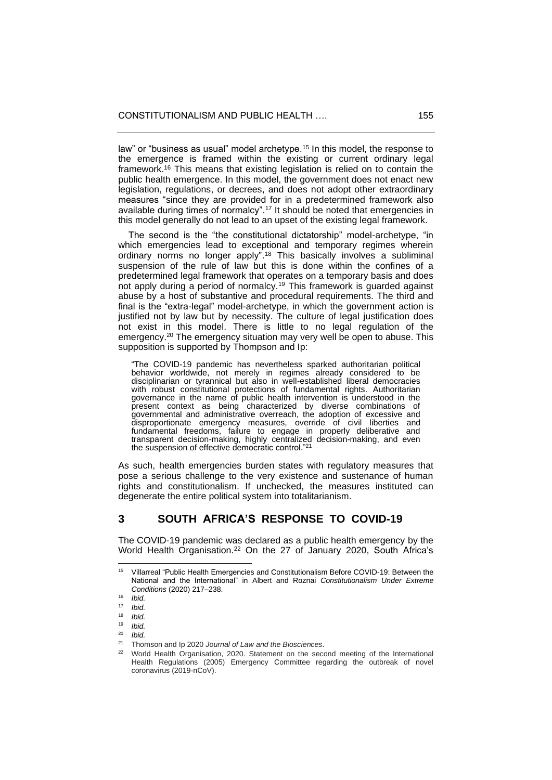law" or "business as usual" model archetype.<sup>15</sup> In this model, the response to the emergence is framed within the existing or current ordinary legal framework.<sup>16</sup> This means that existing legislation is relied on to contain the public health emergence. In this model, the government does not enact new legislation, regulations, or decrees, and does not adopt other extraordinary measures "since they are provided for in a predetermined framework also available during times of normalcy". <sup>17</sup> It should be noted that emergencies in this model generally do not lead to an upset of the existing legal framework.

 The second is the "the constitutional dictatorship" model-archetype, "in which emergencies lead to exceptional and temporary regimes wherein ordinary norms no longer apply".<sup>18</sup> This basically involves a subliminal suspension of the rule of law but this is done within the confines of a predetermined legal framework that operates on a temporary basis and does not apply during a period of normalcy.<sup>19</sup> This framework is guarded against abuse by a host of substantive and procedural requirements. The third and final is the "extra-legal" model-archetype, in which the government action is justified not by law but by necessity. The culture of legal justification does not exist in this model. There is little to no legal regulation of the emergency.<sup>20</sup> The emergency situation may very well be open to abuse. This supposition is supported by Thompson and Ip:

"The COVID-19 pandemic has nevertheless sparked authoritarian political behavior worldwide, not merely in regimes already considered to be disciplinarian or tyrannical but also in well-established liberal democracies with robust constitutional protections of fundamental rights. Authoritarian governance in the name of public health intervention is understood in the present context as being characterized by diverse combinations of governmental and administrative overreach, the adoption of excessive and disproportionate emergency measures, override of civil liberties and fundamental freedoms, failure to engage in properly deliberative and transparent decision-making, highly centralized decision-making, and even the suspension of effective democratic control."<sup>21</sup>

As such, health emergencies burden states with regulatory measures that pose a serious challenge to the very existence and sustenance of human rights and constitutionalism. If unchecked, the measures instituted can degenerate the entire political system into totalitarianism.

## **3 SOUTH AFRICA'S RESPONSE TO COVID-19**

The COVID-19 pandemic was declared as a public health emergency by the World Health Organisation.<sup>22</sup> On the 27 of January 2020, South Africa's

<sup>15</sup> Villarreal "Public Health Emergencies and Constitutionalism Before COVID-19: Between the National and the International" in Albert and Roznai *Constitutionalism Under Extreme Conditions* (2020) 217‒238.

<sup>16</sup> *Ibid.*

 $17$  *Ibid.*<br> $18$  *Ibid.* 

 $18$  *Ibid.*<br> $19$  *Ibid.* 

 $19$  *Ibid.*<br> $20$  *Ibid* 

 $^{20}$  *Ibid.*<br> $^{21}$  There

<sup>21</sup> Thomson and Ip 2020 *Journal of Law and the Biosciences*.

<sup>22</sup> World Health Organisation, 2020. Statement on the second meeting of the International Health Regulations (2005) Emergency Committee regarding the outbreak of novel coronavirus (2019-nCoV).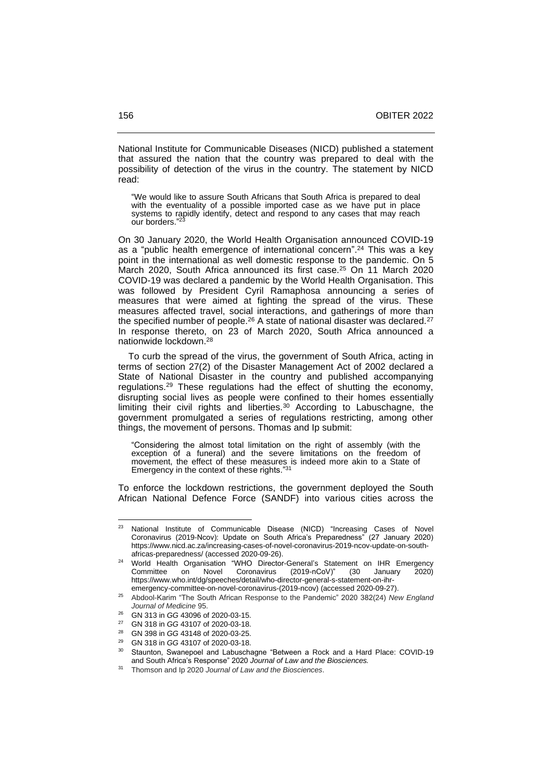National Institute for Communicable Diseases (NICD) published a statement that assured the nation that the country was prepared to deal with the possibility of detection of the virus in the country. The statement by NICD read:

"We would like to assure South Africans that South Africa is prepared to deal with the eventuality of a possible imported case as we have put in place systems to rapidly identify, detect and respond to any cases that may reach our borders."<sup>23</sup>

On 30 January 2020, the World Health Organisation announced COVID-19 as a "public health emergence of international concern". <sup>24</sup> This was a key point in the international as well domestic response to the pandemic. On 5 March 2020, South Africa announced its first case.<sup>25</sup> On 11 March 2020 COVID-19 was declared a pandemic by the World Health Organisation. This was followed by President Cyril Ramaphosa announcing a series of measures that were aimed at fighting the spread of the virus. These measures affected travel, social interactions, and gatherings of more than the specified number of people.<sup>26</sup> A state of national disaster was declared.<sup>27</sup> In response thereto, on 23 of March 2020, South Africa announced a nationwide lockdown. 28

 To curb the spread of the virus, the government of South Africa, acting in terms of section 27(2) of the Disaster Management Act of 2002 declared a State of National Disaster in the country and published accompanying regulations.<sup>29</sup> These regulations had the effect of shutting the economy, disrupting social lives as people were confined to their homes essentially limiting their civil rights and liberties.<sup>30</sup> According to Labuschagne, the government promulgated a series of regulations restricting, among other things, the movement of persons. Thomas and Ip submit:

"Considering the almost total limitation on the right of assembly (with the exception of a funeral) and the severe limitations on the freedom of movement, the effect of these measures is indeed more akin to a State of Emergency in the context of these rights."<sup>31</sup>

To enforce the lockdown restrictions, the government deployed the South African National Defence Force (SANDF) into various cities across the

<sup>&</sup>lt;sup>23</sup> National Institute of Communicable Disease (NICD) "Increasing Cases of Novel Coronavirus (2019-Ncov): Update on South Africa's Preparedness" (27 January 2020) [https://www.nicd.ac.za/increasing-cases-of-novel-coronavirus-2019-ncov-update-on-south](https://www.nicd.ac.za/increasing-cases-of-novel-coronavirus-2019-ncov-update-on-south-africas-preparedness/)[africas-preparedness/](https://www.nicd.ac.za/increasing-cases-of-novel-coronavirus-2019-ncov-update-on-south-africas-preparedness/) (accessed 2020-09-26).

World Health Organisation "WHO Director-General's Statement on IHR Emergency<br>Committee on Novel Coronavirus (2019-nCoV)" (30 January 2020) Committee on Novel Coronavirus (2019-nCoV)" (30 January 2020) [https://www.who.int/dg/speeches/detail/who-director-general-s-statement-on-ihr](https://www.who.int/dg/speeches/detail/who-director-general-s-statement-on-ihr-emergency-committee-on-novel-coronavirus-(2019-ncov))[emergency-committee-on-novel-coronavirus-\(2019-ncov\)](https://www.who.int/dg/speeches/detail/who-director-general-s-statement-on-ihr-emergency-committee-on-novel-coronavirus-(2019-ncov)) (accessed 2020-09-27).

<sup>25</sup> Abdool-Karim "The South African Response to the Pandemic" 2020 382(24) *New England Journal of Medicine* 95.

<sup>&</sup>lt;sup>26</sup> GN 313 in *GG* 43096 of 2020-03-15.

<sup>27</sup> GN 318 in *GG* 43107 of 2020-03-18.

<sup>28</sup> GN 398 in *GG* 43148 of 2020-03-25.

<sup>29</sup> GN 318 in *GG* 43107 of 2020-03-18.

<sup>&</sup>lt;sup>30</sup> Staunton, Swanepoel and Labuschagne "Between a Rock and a Hard Place: COVID-19 and South Africa's Response" 2020 *Journal of Law and the Biosciences.*

<sup>31</sup> Thomson and Ip 2020 *Journal of Law and the Biosciences*.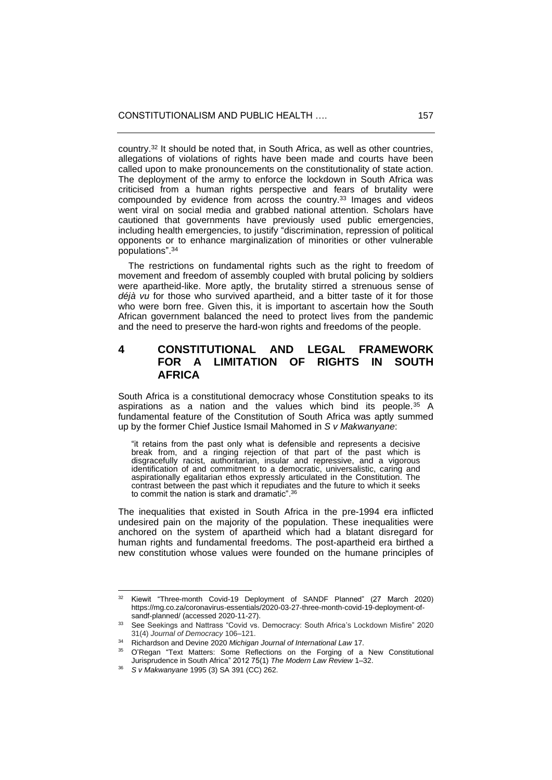country.<sup>32</sup> It should be noted that, in South Africa, as well as other countries, allegations of violations of rights have been made and courts have been called upon to make pronouncements on the constitutionality of state action. The deployment of the army to enforce the lockdown in South Africa was criticised from a human rights perspective and fears of brutality were compounded by evidence from across the country.<sup>33</sup> Images and videos went viral on social media and grabbed national attention. Scholars have cautioned that governments have previously used public emergencies, including health emergencies, to justify "discrimination, repression of political opponents or to enhance marginalization of minorities or other vulnerable populations". 34

 The restrictions on fundamental rights such as the right to freedom of movement and freedom of assembly coupled with brutal policing by soldiers were apartheid-like. More aptly, the brutality stirred a strenuous sense of *déjà vu* for those who survived apartheid, and a bitter taste of it for those who were born free. Given this, it is important to ascertain how the South African government balanced the need to protect lives from the pandemic and the need to preserve the hard-won rights and freedoms of the people.

## **4 CONSTITUTIONAL AND LEGAL FRAMEWORK FOR A LIMITATION OF RIGHTS IN SOUTH AFRICA**

South Africa is a constitutional democracy whose Constitution speaks to its aspirations as a nation and the values which bind its people.<sup>35</sup> A fundamental feature of the Constitution of South Africa was aptly summed up by the former Chief Justice Ismail Mahomed in *S v Makwanyane*:

"it retains from the past only what is defensible and represents a decisive break from, and a ringing rejection of that part of the past which is disgracefully racist, authoritarian, insular and repressive, and a vigorous identification of and commitment to a democratic, universalistic, caring and aspirationally egalitarian ethos expressly articulated in the Constitution. The contrast between the past which it repudiates and the future to which it seeks to commit the nation is stark and dramatic". 36

The inequalities that existed in South Africa in the pre-1994 era inflicted undesired pain on the majority of the population. These inequalities were anchored on the system of apartheid which had a blatant disregard for human rights and fundamental freedoms. The post-apartheid era birthed a new constitution whose values were founded on the humane principles of

Kiewit "Three-month Covid-19 Deployment of SANDF Planned" (27 March 2020) [https://mg.co.za/coronavirus-essentials/2020-03-27-three-month-covid-19-deployment-of](https://mg.co.za/coronavirus-essentials/2020-03-27-three-month-covid-19-deployment-of-sandf-planned/)[sandf-planned/](https://mg.co.za/coronavirus-essentials/2020-03-27-three-month-covid-19-deployment-of-sandf-planned/) (accessed 2020-11-27).

<sup>&</sup>lt;sup>33</sup> See Seekings and Nattrass "Covid vs. Democracy: South Africa's Lockdown Misfire" 2020 31(4) Journal of Democracy 106-121.

<sup>34</sup> Richardson and Devine 2020 *Michigan Journal of International Law* 17.

<sup>35</sup> O'Regan "Text Matters: Some Reflections on the Forging of a New Constitutional Jurisprudence in South Africa" 2012 75(1) *The Modern Law Review* 1‒32.

<sup>36</sup> *S v Makwanyane* 1995 (3) SA 391 (CC) 262.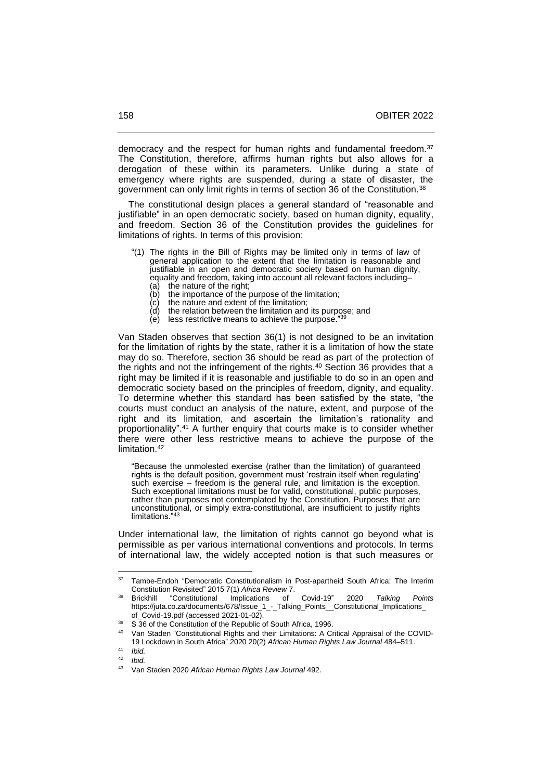democracy and the respect for human rights and fundamental freedom.<sup>37</sup> The Constitution, therefore, affirms human rights but also allows for a derogation of these within its parameters. Unlike during a state of emergency where rights are suspended, during a state of disaster, the government can only limit rights in terms of section 36 of the Constitution.<sup>38</sup>

 The constitutional design places a general standard of "reasonable and justifiable" in an open democratic society, based on human dignity, equality, and freedom. Section 36 of the Constitution provides the guidelines for limitations of rights. In terms of this provision:

- "(1) The rights in the Bill of Rights may be limited only in terms of law of general application to the extent that the limitation is reasonable and justifiable in an open and democratic society based on human dignity, equality and freedom, taking into account all relevant factors including–
	- (a) the nature of the right;<br>(b) the importance of the p the importance of the purpose of the limitation;
	-
	- (c) the nature and extent of the limitation;<br>(d) the relation between the limitation and the relation between the limitation and its purpose; and
	- (e) less restrictive means to achieve the purpose." 39

Van Staden observes that section 36(1) is not designed to be an invitation for the limitation of rights by the state, rather it is a limitation of how the state may do so. Therefore, section 36 should be read as part of the protection of the rights and not the infringement of the rights. <sup>40</sup> Section 36 provides that a right may be limited if it is reasonable and justifiable to do so in an open and democratic society based on the principles of freedom, dignity, and equality. To determine whether this standard has been satisfied by the state, "the courts must conduct an analysis of the nature, extent, and purpose of the right and its limitation, and ascertain the limitation's rationality and proportionality". <sup>41</sup> A further enquiry that courts make is to consider whether there were other less restrictive means to achieve the purpose of the limitation.<sup>42</sup>

"Because the unmolested exercise (rather than the limitation) of guaranteed rights is the default position, government must 'restrain itself when regulating' such exercise – freedom is the general rule, and limitation is the exception. Such exceptional limitations must be for valid, constitutional, public purposes, rather than purposes not contemplated by the Constitution. Purposes that are unconstitutional, or simply extra-constitutional, are insufficient to justify rights limitations."<sup>43</sup>

Under international law, the limitation of rights cannot go beyond what is permissible as per various international conventions and protocols. In terms of international law, the widely accepted notion is that such measures or

<sup>&</sup>lt;sup>37</sup> Tambe-Endoh "Democratic Constitutionalism in Post-apartheid South Africa: The Interim Constitution Revisited" 2015 7(1) *Africa Review* 7.

<sup>38</sup> Brickhill "Constitutional Implications of Covid-19" 2020 *Talking Points* [https://juta.co.za/documents/678/Issue\\_1\\_-\\_Talking\\_Points\\_\\_Constitutional\\_Implications\\_](https://juta.co.za/documents/678/Issue_1_-_Talking_Points__Constitutional_Implications_%20of_Covid-19.pdf)  [of\\_Covid-19.pdf](https://juta.co.za/documents/678/Issue_1_-_Talking_Points__Constitutional_Implications_%20of_Covid-19.pdf) (accessed 2021-01-02).

 $39$  S 36 of the Constitution of the Republic of South Africa, 1996.

<sup>40</sup> Van Staden "Constitutional Rights and their Limitations: A Critical Appraisal of the COVID-19 Lockdown in South Africa" 2020 20(2) *African Human Rights Law Journal* 484‒511.

<sup>41</sup> *Ibid.*

<sup>42</sup> *Ibid.*

<sup>43</sup> Van Staden 2020 *African Human Rights Law Journal* 492.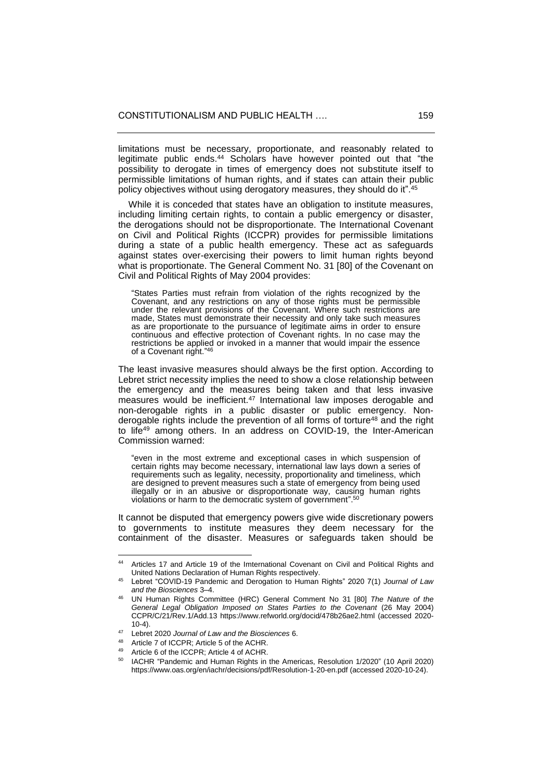limitations must be necessary, proportionate, and reasonably related to legitimate public ends.<sup>44</sup> Scholars have however pointed out that "the possibility to derogate in times of emergency does not substitute itself to permissible limitations of human rights, and if states can attain their public policy objectives without using derogatory measures, they should do it".<sup>45</sup>

 While it is conceded that states have an obligation to institute measures, including limiting certain rights, to contain a public emergency or disaster, the derogations should not be disproportionate. The International Covenant on Civil and Political Rights (ICCPR) provides for permissible limitations during a state of a public health emergency. These act as safeguards against states over-exercising their powers to limit human rights beyond what is proportionate. The General Comment No. 31 [80] of the Covenant on Civil and Political Rights of May 2004 provides:

"States Parties must refrain from violation of the rights recognized by the Covenant, and any restrictions on any of those rights must be permissible under the relevant provisions of the Covenant. Where such restrictions are made, States must demonstrate their necessity and only take such measures as are proportionate to the pursuance of legitimate aims in order to ensure continuous and effective protection of Covenant rights. In no case may the restrictions be applied or invoked in a manner that would impair the essence of a Covenant right."<sup>46</sup>

The least invasive measures should always be the first option. According to Lebret strict necessity implies the need to show a close relationship between the emergency and the measures being taken and that less invasive measures would be inefficient.<sup>47</sup> International law imposes derogable and non-derogable rights in a public disaster or public emergency. Nonderogable rights include the prevention of all forms of torture<sup>48</sup> and the right to life<sup>49</sup> among others. In an address on COVID-19, the Inter-American Commission warned:

"even in the most extreme and exceptional cases in which suspension of certain rights may become necessary, international law lays down a series of requirements such as legality, necessity, proportionality and timeliness, which are designed to prevent measures such a state of emergency from being used illegally or in an abusive or disproportionate way, causing human rights violations or harm to the democratic system of government". 50

It cannot be disputed that emergency powers give wide discretionary powers to governments to institute measures they deem necessary for the containment of the disaster. Measures or safeguards taken should be

<sup>44</sup> Articles 17 and Article 19 of the Imternational Covenant on Civil and Political Rights and United Nations Declaration of Human Rights respectively.

<sup>45</sup> Lebret "COVID-19 Pandemic and Derogation to Human Rights" 2020 7(1) *Journal of Law and the Biosciences* 3‒4.

<sup>46</sup> UN Human Rights Committee (HRC) General Comment No 31 [80] *The Nature of the General Legal Obligation Imposed on States Parties to the Covenant* (26 May 2004) CCPR/C/21/Rev.1/Add.13 <https://www.refworld.org/docid/478b26ae2.html> (accessed 2020- 10-4).

<sup>47</sup> Lebret 2020 *Journal of Law and the Biosciences* 6.

<sup>48</sup> Article 7 of ICCPR; Article 5 of the ACHR.

Article 6 of the ICCPR; Article 4 of ACHR.

IACHR "Pandemic and Human Rights in the Americas, Resolution 1/2020" (10 April 2020) https:/[/www.oas.org/en/iachr/decisions/pdf/Resolution-1-20-en.pdf](http://www.oas.org/en/iachr/decisions/pdf/Resolution-1-20-en.pdf) (accessed 2020-10-24).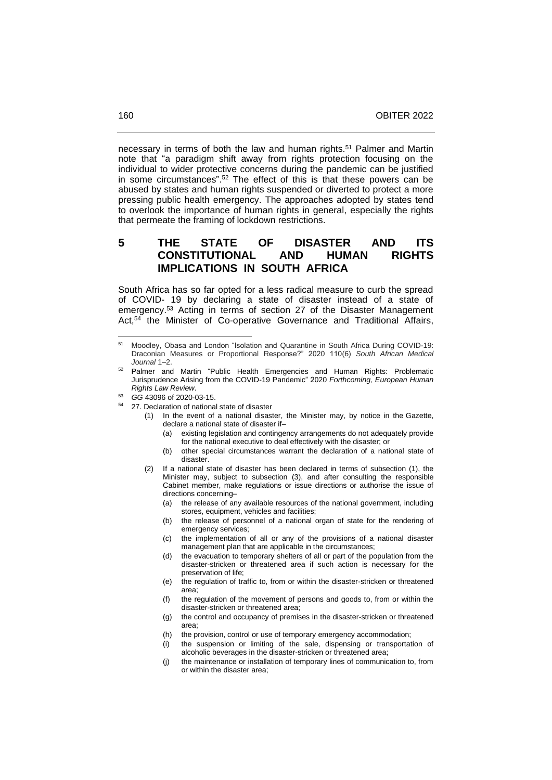necessary in terms of both the law and human rights.<sup>51</sup> Palmer and Martin note that "a paradigm shift away from rights protection focusing on the individual to wider protective concerns during the pandemic can be justified in some circumstances". <sup>52</sup> The effect of this is that these powers can be abused by states and human rights suspended or diverted to protect a more pressing public health emergency. The approaches adopted by states tend to overlook the importance of human rights in general, especially the rights that permeate the framing of lockdown restrictions.

## **5 THE STATE OF DISASTER AND ITS CONSTITUTIONAL AND HUMAN RIGHTS IMPLICATIONS IN SOUTH AFRICA**

South Africa has so far opted for a less radical measure to curb the spread of COVID- 19 by declaring a state of disaster instead of a state of emergency.<sup>53</sup> Acting in terms of section 27 of the Disaster Management Act, <sup>54</sup> the Minister of Co-operative Governance and Traditional Affairs,

- <sup>52</sup> Palmer and Martin "Public Health Emergencies and Human Rights: Problematic Jurisprudence Arising from the COVID-19 Pandemic" 2020 *Forthcoming, European Human Rights Law Review*.
- <sup>53</sup> *GG* 43096 of 2020-03-15.
- 27. Declaration of national state of disaster
	- (1) In the event of a national disaster, the Minister may, by notice in the Gazette, declare a national state of disaster if-
		- (a) existing legislation and contingency arrangements do not adequately provide for the national executive to deal effectively with the disaster; or
		- (b) other special circumstances warrant the declaration of a national state of disaster.
	- (2) If a national state of disaster has been declared in terms of subsection (1), the Minister may, subject to subsection (3), and after consulting the responsible Cabinet member, make regulations or issue directions or authorise the issue of directions concerning-
		- (a) the release of any available resources of the national government, including stores, equipment, vehicles and facilities;
		- (b) the release of personnel of a national organ of state for the rendering of emergency services;
		- (c) the implementation of all or any of the provisions of a national disaster management plan that are applicable in the circumstances;
		- (d) the evacuation to temporary shelters of all or part of the population from the disaster-stricken or threatened area if such action is necessary for the preservation of life;
		- (e) the regulation of traffic to, from or within the disaster-stricken or threatened area;
		- (f) the regulation of the movement of persons and goods to, from or within the disaster-stricken or threatened area;
		- (g) the control and occupancy of premises in the disaster-stricken or threatened area;
		- (h) the provision, control or use of temporary emergency accommodation;
		- (i) the suspension or limiting of the sale, dispensing or transportation of alcoholic beverages in the disaster-stricken or threatened area;
		- (j) the maintenance or installation of temporary lines of communication to, from or within the disaster area;

<sup>51</sup> Moodley, Obasa and London "Isolation and Quarantine in South Africa During COVID-19: Draconian Measures or Proportional Response?" 2020 110(6) *South African Medical Journal* 1‒2.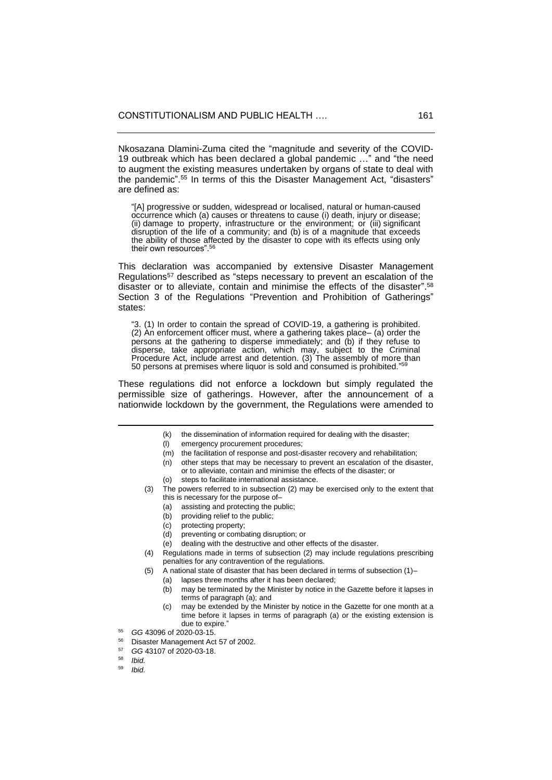Nkosazana Dlamini-Zuma cited the "magnitude and severity of the COVID-19 outbreak which has been declared a global pandemic …" and "the need to augment the existing measures undertaken by organs of state to deal with the pandemic". <sup>55</sup> In terms of this the Disaster Management Act, "disasters" are defined as:

"[A] progressive or sudden, widespread or localised, natural or human-caused occurrence which (a) causes or threatens to cause (i) death, injury or disease; (ii) damage to property, infrastructure or the environment; or (iii) significant disruption of the life of a community; and (b) is of a magnitude that exceeds the ability of those affected by the disaster to cope with its effects using only their own resources". 56

This declaration was accompanied by extensive Disaster Management Regulations<sup>57</sup> described as "steps necessary to prevent an escalation of the disaster or to alleviate, contain and minimise the effects of the disaster". 58 Section 3 of the Regulations "Prevention and Prohibition of Gatherings" states:

"3. (1) In order to contain the spread of COVID-19, a gathering is prohibited.  $(2)$  An enforcement officer must, where a gathering takes place–  $(a)$  order the persons at the gathering to disperse immediately; and (b) if they refuse to disperse, take appropriate action, which may, subject to the Criminal Procedure Act, include arrest and detention. (3) The assembly of more than 50 persons at premises where liquor is sold and consumed is prohibited."<sup>59</sup>

These regulations did not enforce a lockdown but simply regulated the permissible size of gatherings. However, after the announcement of a nationwide lockdown by the government, the Regulations were amended to

- (m) the facilitation of response and post-disaster recovery and rehabilitation;
- (n) other steps that may be necessary to prevent an escalation of the disaster,
- or to alleviate, contain and minimise the effects of the disaster; or (o) steps to facilitate international assistance.
- (3) The powers referred to in subsection (2) may be exercised only to the extent that this is necessary for the purpose of-
	- (a) assisting and protecting the public;
	- (b) providing relief to the public;
	- (c) protecting property;
	- (d) preventing or combating disruption; or
	- (e) dealing with the destructive and other effects of the disaster.
- (4) Regulations made in terms of subsection (2) may include regulations prescribing penalties for any contravention of the regulations.
- (5) A national state of disaster that has been declared in terms of subsection  $(1)$ -
	- (a) lapses three months after it has been declared;
		- (b) may be terminated by the Minister by notice in the Gazette before it lapses in terms of paragraph (a); and
		- (c) may be extended by the Minister by notice in the Gazette for one month at a time before it lapses in terms of paragraph (a) or the existing extension is due to expire."
- <sup>55</sup> *GG* 43096 of 2020-03-15.
- <sup>56</sup> Disaster Management Act 57 of 2002.
- <sup>57</sup> *GG* 43107 of 2020-03-18.
- <sup>58</sup> *Ibid.*
- <sup>59</sup> *Ibid.*

<sup>(</sup>k) the dissemination of information required for dealing with the disaster;

<sup>(</sup>l) emergency procurement procedures;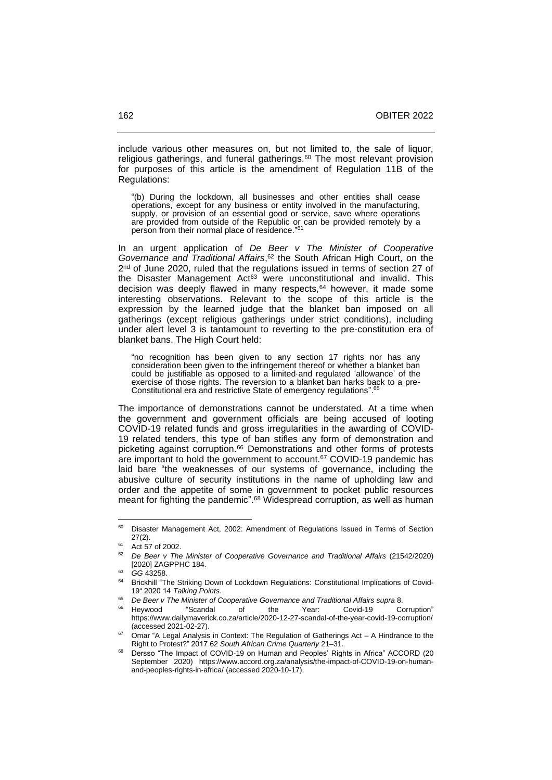include various other measures on, but not limited to, the sale of liquor, religious gatherings, and funeral gatherings.<sup>60</sup> The most relevant provision for purposes of this article is the amendment of Regulation 11B of the Regulations:

"(b) During the lockdown, all businesses and other entities shall cease operations, except for any business or entity involved in the manufacturing, supply, or provision of an essential good or service, save where operations are provided from outside of the Republic or can be provided remotely by a person from their normal place of residence." 61

In an urgent application of *De Beer v The Minister of Cooperative Governance and Traditional Affairs*, <sup>62</sup> the South African High Court, on the 2<sup>nd</sup> of June 2020, ruled that the regulations issued in terms of section 27 of the Disaster Management Act<sup>63</sup> were unconstitutional and invalid. This decision was deeply flawed in many respects,<sup>64</sup> however, it made some interesting observations. Relevant to the scope of this article is the expression by the learned judge that the blanket ban imposed on all gatherings (except religious gatherings under strict conditions), including under alert level 3 is tantamount to reverting to the pre-constitution era of blanket bans. The High Court held:

"no recognition has been given to any section 17 rights nor has any consideration been given to the infringement thereof or whether a blanket ban could be justifiable as opposed to a limited·and regulated 'allowance' of the exercise of those rights. The reversion to a blanket ban harks back to a pre-Constitutional era and restrictive State of emergency regulations". 65

The importance of demonstrations cannot be understated. At a time when the government and government officials are being accused of looting COVID-19 related funds and gross irregularities in the awarding of COVID-19 related tenders, this type of ban stifles any form of demonstration and picketing against corruption.<sup>66</sup> Demonstrations and other forms of protests are important to hold the government to account.<sup>67</sup> COVID-19 pandemic has laid bare "the weaknesses of our systems of governance, including the abusive culture of security institutions in the name of upholding law and order and the appetite of some in government to pocket public resources meant for fighting the pandemic". <sup>68</sup> Widespread corruption, as well as human

<sup>60</sup> Disaster Management Act, 2002: Amendment of Regulations Issued in Terms of Section 27(2).

<sup>61</sup> Act 57 of 2002.

<sup>62</sup> *De Beer v The Minister of Cooperative Governance and Traditional Affairs* (21542/2020) [2020] ZAGPPHC 184.

<sup>63</sup> *GG* 43258.

<sup>&</sup>lt;sup>64</sup> Brickhill "The Striking Down of Lockdown Regulations: Constitutional Implications of Covid-19" 2020 14 *Talking Points*.

<sup>65</sup> *De Beer v The Minister of Cooperative Governance and Traditional Affairs supra* 8.

<sup>&</sup>lt;sup>66</sup> Heywood "Scandal of the Year: Covid-19 Corruption" <https://www.dailymaverick.co.za/article/2020-12-27-scandal-of-the-year-covid-19-corruption/> (accessed 2021-02-27).

Omar "A Legal Analysis in Context: The Regulation of Gatherings Act - A Hindrance to the Right to Protest?" 2017 62 South African Crime Quarterly 21-31.

<sup>68</sup> Dersso "The Impact of COVID-19 on Human and Peoples' Rights in Africa" ACCORD (20 September 2020) [https://www.accord.org.za/analysis/the-impact-of-COVID-19-on-human](https://www.accord.org.za/analysis/the-impact-of-covid-19-on-human-and-peoples-rights-in-africa/)[and-peoples-rights-in-africa/](https://www.accord.org.za/analysis/the-impact-of-covid-19-on-human-and-peoples-rights-in-africa/) (accessed 2020-10-17).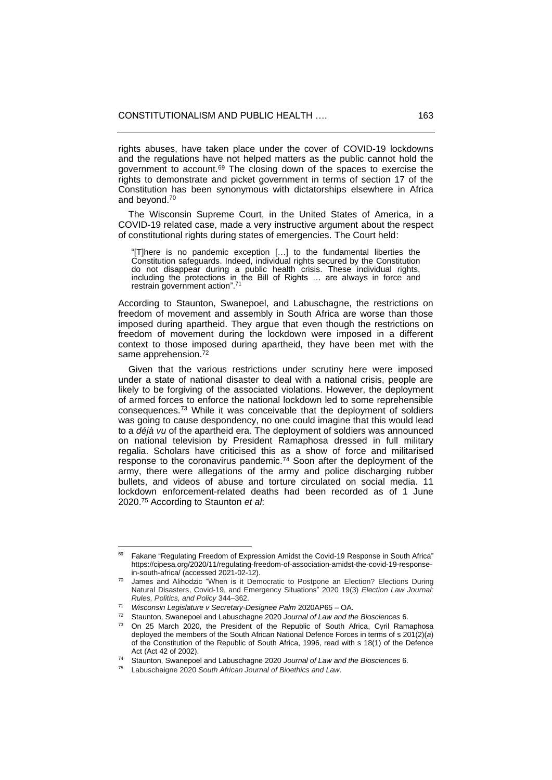rights abuses, have taken place under the cover of COVID-19 lockdowns and the regulations have not helped matters as the public cannot hold the government to account.<sup>69</sup> The closing down of the spaces to exercise the rights to demonstrate and picket government in terms of section 17 of the Constitution has been synonymous with dictatorships elsewhere in Africa and beyond.<sup>70</sup>

 The Wisconsin Supreme Court, in the United States of America, in a COVID-19 related case, made a very instructive argument about the respect of constitutional rights during states of emergencies. The Court held:

"[T]here is no pandemic exception […] to the fundamental liberties the Constitution safeguards. Indeed, individual rights secured by the Constitution do not disappear during a public health crisis. These individual rights, including the protections in the Bill of Rights ... are always in force and restrain government action". 71

According to Staunton, Swanepoel, and Labuschagne, the restrictions on freedom of movement and assembly in South Africa are worse than those imposed during apartheid. They argue that even though the restrictions on freedom of movement during the lockdown were imposed in a different context to those imposed during apartheid, they have been met with the same apprehension.<sup>72</sup>

 Given that the various restrictions under scrutiny here were imposed under a state of national disaster to deal with a national crisis, people are likely to be forgiving of the associated violations. However, the deployment of armed forces to enforce the national lockdown led to some reprehensible consequences.<sup>73</sup> While it was conceivable that the deployment of soldiers was going to cause despondency, no one could imagine that this would lead to a *déjà vu* of the apartheid era. The deployment of soldiers was announced on national television by President Ramaphosa dressed in full military regalia. Scholars have criticised this as a show of force and militarised response to the coronavirus pandemic.<sup>74</sup> Soon after the deployment of the army, there were allegations of the army and police discharging rubber bullets, and videos of abuse and torture circulated on social media. 11 lockdown enforcement-related deaths had been recorded as of 1 June 2020.<sup>75</sup> According to Staunton *et al*:

Fakane "Regulating Freedom of Expression Amidst the Covid-19 Response in South Africa" [https://cipesa.org/2020/11/regulating-freedom-of-association-amidst-the-covid-19-response](https://cipesa.org/2020/11/regulating-freedom-of-association-amidst-the-covid-19-response-in-south-africa/)[in-south-africa/](https://cipesa.org/2020/11/regulating-freedom-of-association-amidst-the-covid-19-response-in-south-africa/) (accessed 2021-02-12).

James and Alihodzic "When is it Democratic to Postpone an Election? Elections During Natural Disasters, Covid-19, and Emergency Situations" 2020 19(3) *Election Law Journal: Rules, Politics, and Policy* 344‒362.

<sup>71</sup> *Wisconsin Legislature v Secretary-Designee Palm* 2020AP65 – OA.

<sup>72</sup> Staunton, Swanepoel and Labuschagne 2020 *Journal of Law and the Biosciences* 6.

<sup>73</sup> On 25 March 2020, the President of the Republic of South Africa, Cyril Ramaphosa deployed the members of the South African National Defence Forces in terms of s 201(2)(*a*) of the Constitution of the Republic of South Africa, 1996, read with s 18(1) of the Defence Act (Act 42 of 2002).

<sup>74</sup> Staunton, Swanepoel and Labuschagne 2020 *Journal of Law and the Biosciences* 6.

<sup>75</sup> Labuschaigne 2020 *South African Journal of Bioethics and Law*.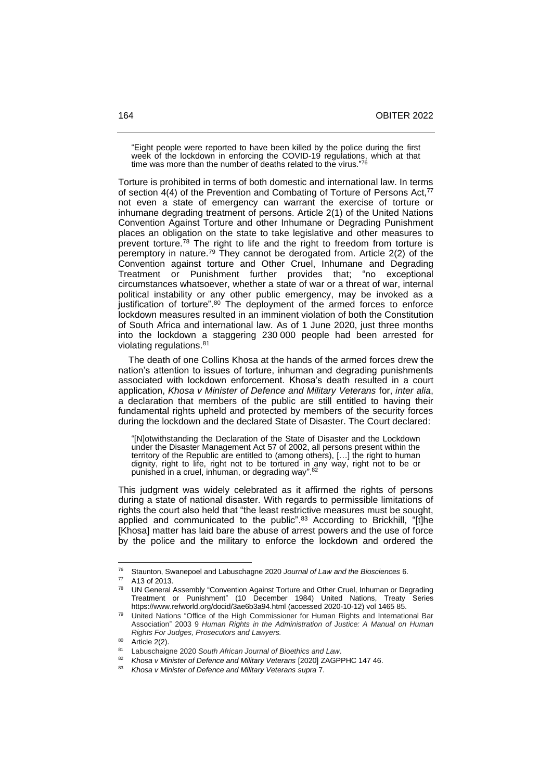"Eight people were reported to have been killed by the police during the first week of the lockdown in enforcing the COVID-19 regulations, which at that time was more than the number of deaths related to the virus."76

Torture is prohibited in terms of both domestic and international law. In terms of section 4(4) of the Prevention and Combating of Torture of Persons Act,<sup>77</sup> not even a state of emergency can warrant the exercise of torture or inhumane degrading treatment of persons. Article 2(1) of the United Nations Convention Against Torture and other Inhumane or Degrading Punishment places an obligation on the state to take legislative and other measures to prevent torture.<sup>78</sup> The right to life and the right to freedom from torture is peremptory in nature.<sup>79</sup> They cannot be derogated from. Article  $2(2)$  of the Convention against torture and Other Cruel, Inhumane and Degrading Treatment or Punishment further provides that; "no exceptional circumstances whatsoever, whether a state of war or a threat of war, internal political instability or any other public emergency, may be invoked as a justification of torture".<sup>80</sup> The deployment of the armed forces to enforce lockdown measures resulted in an imminent violation of both the Constitution of South Africa and international law. As of 1 June 2020, just three months into the lockdown a staggering 230 000 people had been arrested for violating regulations. 81

 The death of one Collins Khosa at the hands of the armed forces drew the nation's attention to issues of torture, inhuman and degrading punishments associated with lockdown enforcement. Khosa's death resulted in a court application, *Khosa v Minister of Defence and Military Veterans* for, *inter alia*, a declaration that members of the public are still entitled to having their fundamental rights upheld and protected by members of the security forces during the lockdown and the declared State of Disaster. The Court declared:

"[N]otwithstanding the Declaration of the State of Disaster and the Lockdown under the Disaster Management Act 57 of 2002, all persons present within the territory of the Republic are entitled to (among others), […] the right to human dignity, right to life, right not to be tortured in any way, right not to be or punished in a cruel, inhuman, or degrading way".<sup>82</sup>

This judgment was widely celebrated as it affirmed the rights of persons during a state of national disaster. With regards to permissible limitations of rights the court also held that "the least restrictive measures must be sought, applied and communicated to the public".<sup>83</sup> According to Brickhill, "[t]he [Khosa] matter has laid bare the abuse of arrest powers and the use of force by the police and the military to enforce the lockdown and ordered the

<sup>76</sup> Staunton, Swanepoel and Labuschagne 2020 *Journal of Law and the Biosciences* 6.

 $^{77}$  A13 of 2013.

UN General Assembly "Convention Against Torture and Other Cruel, Inhuman or Degrading<br>Treatment or Punishment" (10 December 1984) United Nations Treaty Series Treatment or Punishment" (10 December 1984) United Nations, Treaty Series https://www.refworld.org/docid/3ae6b3a94.html (accessed 2020-10-12) vol 1465 85.

<sup>79</sup> United Nations "Office of the High Commissioner for Human Rights and International Bar Association" 2003 9 *Human Rights in the Administration of Justice: A Manual on Human Rights For Judges, Prosecutors and Lawyers.*

 $\frac{80}{81}$  Article 2(2).

<sup>81</sup> Labuschaigne 2020 *South African Journal of Bioethics and Law*.

<sup>82</sup> *Khosa v Minister of Defence and Military Veterans* [2020] ZAGPPHC 147 46.

<sup>83</sup> *Khosa v Minister of Defence and Military Veterans supra* 7.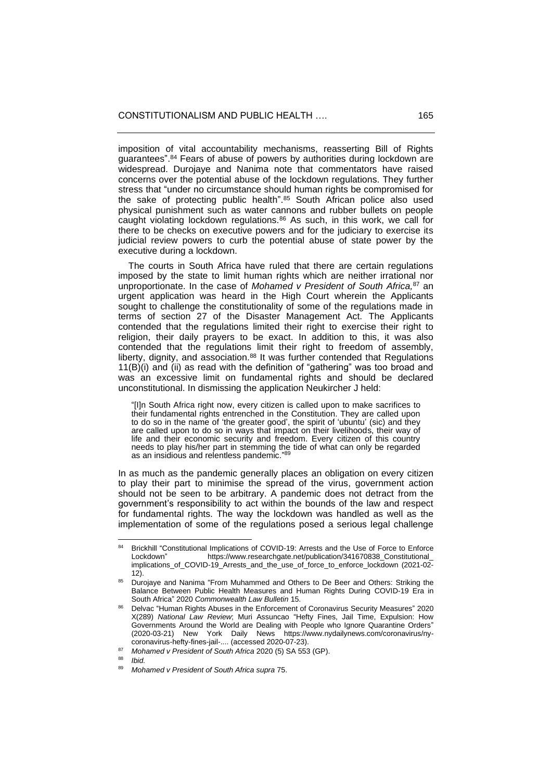imposition of vital accountability mechanisms, reasserting Bill of Rights guarantees". <sup>84</sup> Fears of abuse of powers by authorities during lockdown are widespread. Durojaye and Nanima note that commentators have raised concerns over the potential abuse of the lockdown regulations. They further stress that "under no circumstance should human rights be compromised for the sake of protecting public health". <sup>85</sup> South African police also used physical punishment such as water cannons and rubber bullets on people caught violating lockdown regulations.<sup>86</sup> As such, in this work, we call for there to be checks on executive powers and for the judiciary to exercise its judicial review powers to curb the potential abuse of state power by the executive during a lockdown.

 The courts in South Africa have ruled that there are certain regulations imposed by the state to limit human rights which are neither irrational nor unproportionate. In the case of *Mohamed v President of South Africa,* <sup>87</sup> an urgent application was heard in the High Court wherein the Applicants sought to challenge the constitutionality of some of the regulations made in terms of section 27 of the Disaster Management Act. The Applicants contended that the regulations limited their right to exercise their right to religion, their daily prayers to be exact. In addition to this, it was also contended that the regulations limit their right to freedom of assembly, liberty, dignity, and association. $88$  It was further contended that Regulations 11(B)(i) and (ii) as read with the definition of "gathering" was too broad and was an excessive limit on fundamental rights and should be declared unconstitutional. In dismissing the application Neukircher J held:

"[I]n South Africa right now, every citizen is called upon to make sacrifices to their fundamental rights entrenched in the Constitution. They are called upon to do so in the name of 'the greater good', the spirit of 'ubuntu' (sic) and they are called upon to do so in ways that impact on their livelihoods, their way of life and their economic security and freedom. Every citizen of this country needs to play his/her part in stemming the tide of what can only be regarded as an insidious and relentless pandemic."<sup>89</sup>

In as much as the pandemic generally places an obligation on every citizen to play their part to minimise the spread of the virus, government action should not be seen to be arbitrary. A pandemic does not detract from the government's responsibility to act within the bounds of the law and respect for fundamental rights. The way the lockdown was handled as well as the implementation of some of the regulations posed a serious legal challenge

*Ibid.* 

<sup>84</sup> Brickhill "Constitutional Implications of COVID-19: Arrests and the Use of Force to Enforce<br>Lockdown" https://www.researchgate.net/publication/341670838. Constitutional https://www.researchgate.net/publication/341670838\_Constitutional implications of COVID-19\_Arrests\_and\_the\_use\_of\_force\_to\_enforce\_lockdown (2021-02- $12)$ .

<sup>85</sup> Durojaye and Nanima "From Muhammed and Others to De Beer and Others: Striking the Balance Between Public Health Measures and Human Rights During COVID-19 Era in South Africa" 2020 *Commonwealth Law Bulletin* 15.

<sup>86</sup> Delvac "Human Rights Abuses in the Enforcement of Coronavirus Security Measures" 2020 X(289) *National Law Review*; Muri Assuncao "Hefty Fines, Jail Time, Expulsion: How Governments Around the World are Dealing with People who Ignore Quarantine Orders" (2020-03-21) New York Daily News [https://www.nydailynews.com/coronavirus/ny](https://www.nydailynews.com/coronavirus/ny-coronavirus-hefty-fines-jail-time-expulsion-quarantine-orders-20200321-o3uc6id5vvhsxkcb3ahpikcqci-story.html)[coronavirus-hefty-fines-jail-....](https://www.nydailynews.com/coronavirus/ny-coronavirus-hefty-fines-jail-time-expulsion-quarantine-orders-20200321-o3uc6id5vvhsxkcb3ahpikcqci-story.html) (accessed 2020-07-23).

<sup>87</sup> *Mohamed v President of South Africa* 2020 (5) SA 553 (GP).

<sup>89</sup> *Mohamed v President of South Africa supra* 75.